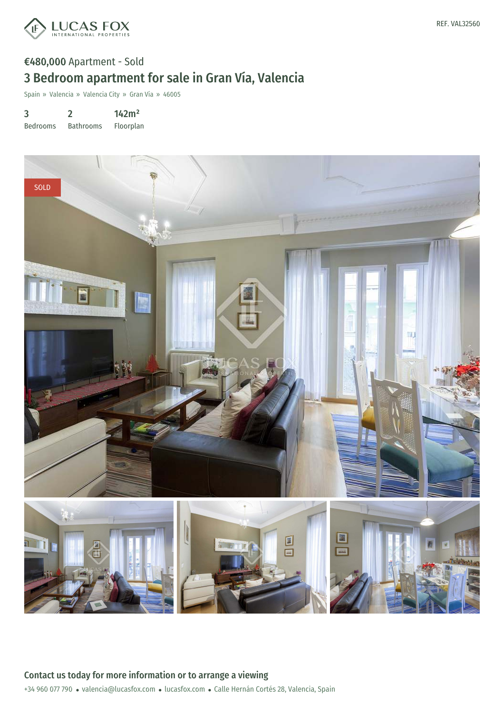

## €480,000 Apartment - Sold 3 Bedroom apartment for sale in Gran Vía, Valencia

Spain » Valencia » Valencia City » Gran Vía » 46005

3 Bedrooms 2 142m²

Bathrooms Floorplan

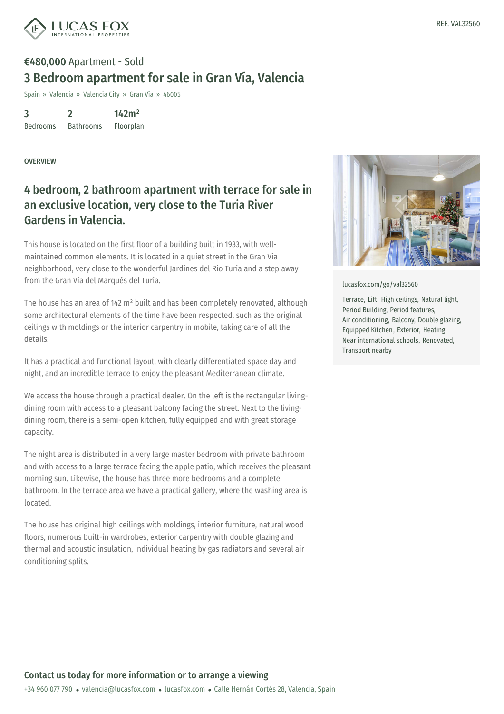

## €480,000 Apartment - Sold 3 Bedroom apartment for sale in Gran Vía, Valencia

Spain » Valencia » Valencia City » Gran Vía » 46005

3 Bedrooms 2 Bathrooms 142m² Floorplan

## OVERVIEW

## 4 bedroom, 2 bathroom apartment with terrace for sale in an exclusive location, very close to the Turia River Gardens in Valencia.

This house is located on the first floor of a building built in 1933, with wellmaintained common elements. It is located in a quiet street in the Gran Vía neighborhood, very close to the wonderful Jardines del Rio Turia and a step away from the Gran Vía del Marqués del Turia.

The house has an area of 142 m² built and has been completely renovated, although some architectural elements of the time have been respected, such as the original ceilings with moldings or the interior carpentry in mobile, taking care of all the details.

It has a practical and functional layout, with clearly differentiated space day and night, and an incredible terrace to enjoy the pleasant Mediterranean climate.

We access the house through a practical dealer. On the left is the rectangular livingdining room with access to a pleasant balcony facing the street. Next to the livingdining room, there is a semi-open kitchen, fully equipped and with great storage capacity.

The night area is distributed in a very large master bedroom with private bathroom and with access to a large terrace facing the apple patio, which receives the pleasant morning sun. Likewise, the house has three more bedrooms and a complete bathroom. In the terrace area we have a practical gallery, where the washing area is located.

The house has original high ceilings with moldings, interior furniture, natural wood floors, numerous built-in [wardrobes,](mailto:valencia@lucasfox.com) exterior [carpentr](https://www.lucasfox.com)y with double glazing and thermal and acoustic insulation, individual heating by gas radiators and several air conditioning splits.



[lucasfox.com/go/val32560](https://www.lucasfox.com/go/val32560)

Terrace, Lift, High ceilings, Natural light, Period Building, Period features, Air conditioning, Balcony, Double glazing, Equipped Kitchen, Exterior, Heating, Near international schools, Renovated, Transport nearby